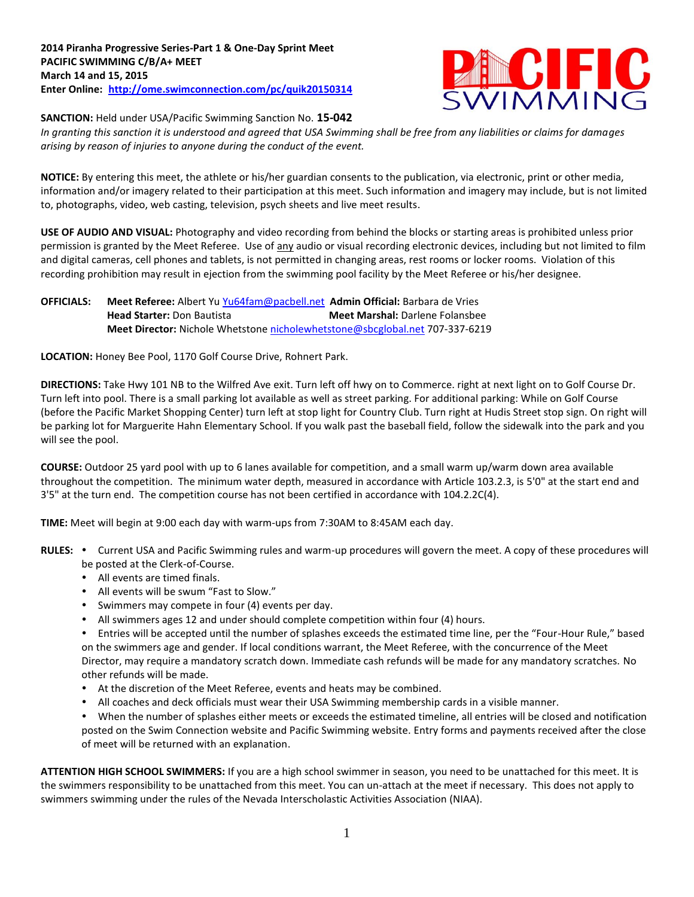

**SANCTION:** Held under USA/Pacific Swimming Sanction No. **15-042**

*In granting this sanction it is understood and agreed that USA Swimming shall be free from any liabilities or claims for damages arising by reason of injuries to anyone during the conduct of the event.*

**NOTICE:** By entering this meet, the athlete or his/her guardian consents to the publication, via electronic, print or other media, information and/or imagery related to their participation at this meet. Such information and imagery may include, but is not limited to, photographs, video, web casting, television, psych sheets and live meet results.

**USE OF AUDIO AND VISUAL:** Photography and video recording from behind the blocks or starting areas is prohibited unless prior permission is granted by the Meet Referee. Use of any audio or visual recording electronic devices, including but not limited to film and digital cameras, cell phones and tablets, is not permitted in changing areas, rest rooms or locker rooms. Violation of this recording prohibition may result in ejection from the swimming pool facility by the Meet Referee or his/her designee.

## **OFFICIALS: Meet Referee:** Albert Yu [Yu64fam@pacbell.net](mailto:Yu64fam@pacbell.net) **Admin Official:** Barbara de Vries **Head Starter:** Don Bautista **Meet Marshal:** Darlene Folansbee **Meet Director:** Nichole Whetstone [nicholewhetstone@sbcglobal.net](mailto:nicholewhetstone@sbcglobal.net) 707-337-6219

**LOCATION:** Honey Bee Pool, 1170 Golf Course Drive, Rohnert Park.

**DIRECTIONS:** Take Hwy 101 NB to the Wilfred Ave exit. Turn left off hwy on to Commerce. right at next light on to Golf Course Dr. Turn left into pool. There is a small parking lot available as well as street parking. For additional parking: While on Golf Course (before the Pacific Market Shopping Center) turn left at stop light for Country Club. Turn right at Hudis Street stop sign. On right will be parking lot for Marguerite Hahn Elementary School. If you walk past the baseball field, follow the sidewalk into the park and you will see the pool.

**COURSE:** Outdoor 25 yard pool with up to 6 lanes available for competition, and a small warm up/warm down area available throughout the competition. The minimum water depth, measured in accordance with Article 103.2.3, is 5'0" at the start end and 3'5" at the turn end. The competition course has not been certified in accordance with 104.2.2C(4).

**TIME:** Meet will begin at 9:00 each day with warm-ups from 7:30AM to 8:45AM each day.

- RULES: . Current USA and Pacific Swimming rules and warm-up procedures will govern the meet. A copy of these procedures will be posted at the Clerk-of-Course.
	- All events are timed finals.
	- All events will be swum "Fast to Slow."
	- Swimmers may compete in four (4) events per day.
	- All swimmers ages 12 and under should complete competition within four (4) hours.

Entries will be accepted until the number of splashes exceeds the estimated time line, per the "Four-Hour Rule," based on the swimmers age and gender. If local conditions warrant, the Meet Referee, with the concurrence of the Meet Director, may require a mandatory scratch down. Immediate cash refunds will be made for any mandatory scratches. No other refunds will be made.

- At the discretion of the Meet Referee, events and heats may be combined.
- All coaches and deck officials must wear their USA Swimming membership cards in a visible manner.
- When the number of splashes either meets or exceeds the estimated timeline, all entries will be closed and notification posted on the Swim Connection website and Pacific Swimming website. Entry forms and payments received after the close of meet will be returned with an explanation.

**ATTENTION HIGH SCHOOL SWIMMERS:** If you are a high school swimmer in season, you need to be unattached for this meet. It is the swimmers responsibility to be unattached from this meet. You can un-attach at the meet if necessary. This does not apply to swimmers swimming under the rules of the Nevada Interscholastic Activities Association (NIAA).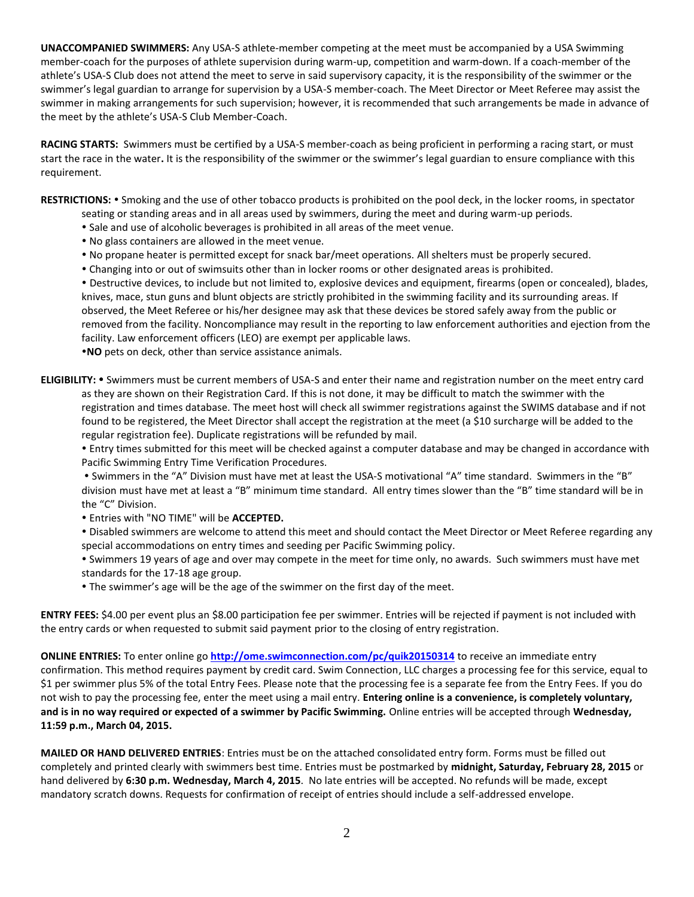**UNACCOMPANIED SWIMMERS:** Any USA-S athlete-member competing at the meet must be accompanied by a USA Swimming member-coach for the purposes of athlete supervision during warm-up, competition and warm-down. If a coach-member of the athlete's USA-S Club does not attend the meet to serve in said supervisory capacity, it is the responsibility of the swimmer or the swimmer's legal guardian to arrange for supervision by a USA-S member-coach. The Meet Director or Meet Referee may assist the swimmer in making arrangements for such supervision; however, it is recommended that such arrangements be made in advance of the meet by the athlete's USA-S Club Member-Coach.

**RACING STARTS:** Swimmers must be certified by a USA-S member-coach as being proficient in performing a racing start, or must start the race in the water**.** It is the responsibility of the swimmer or the swimmer's legal guardian to ensure compliance with this requirement.

RESTRICTIONS: . Smoking and the use of other tobacco products is prohibited on the pool deck, in the locker rooms, in spectator

- seating or standing areas and in all areas used by swimmers, during the meet and during warm-up periods.
- Sale and use of alcoholic beverages is prohibited in all areas of the meet venue.
- No glass containers are allowed in the meet venue.
- No propane heater is permitted except for snack bar/meet operations. All shelters must be properly secured.
- Changing into or out of swimsuits other than in locker rooms or other designated areas is prohibited.

 Destructive devices, to include but not limited to, explosive devices and equipment, firearms (open or concealed), blades, knives, mace, stun guns and blunt objects are strictly prohibited in the swimming facility and its surrounding areas. If observed, the Meet Referee or his/her designee may ask that these devices be stored safely away from the public or removed from the facility. Noncompliance may result in the reporting to law enforcement authorities and ejection from the facility. Law enforcement officers (LEO) are exempt per applicable laws.

**NO** pets on deck, other than service assistance animals.

**ELIGIBILITY:** Swimmers must be current members of USA-S and enter their name and registration number on the meet entry card as they are shown on their Registration Card. If this is not done, it may be difficult to match the swimmer with the registration and times database. The meet host will check all swimmer registrations against the SWIMS database and if not found to be registered, the Meet Director shall accept the registration at the meet (a \$10 surcharge will be added to the regular registration fee). Duplicate registrations will be refunded by mail.

 Entry times submitted for this meet will be checked against a computer database and may be changed in accordance with Pacific Swimming Entry Time Verification Procedures.

 Swimmers in the "A" Division must have met at least the USA-S motivational "A" time standard. Swimmers in the "B" division must have met at least a "B" minimum time standard. All entry times slower than the "B" time standard will be in the "C" Division.

Entries with "NO TIME" will be **ACCEPTED.**

 Disabled swimmers are welcome to attend this meet and should contact the Meet Director or Meet Referee regarding any special accommodations on entry times and seeding per Pacific Swimming policy.

 Swimmers 19 years of age and over may compete in the meet for time only, no awards. Such swimmers must have met standards for the 17-18 age group.

The swimmer's age will be the age of the swimmer on the first day of the meet.

**ENTRY FEES:** \$4.00 per event plus an \$8.00 participation fee per swimmer. Entries will be rejected if payment is not included with the entry cards or when requested to submit said payment prior to the closing of entry registration.

**ONLINE ENTRIES:** To enter online go **<http://ome.swimconnection.com/pc/quik20150314>** to receive an immediate entry confirmation. This method requires payment by credit card. Swim Connection, LLC charges a processing fee for this service, equal to \$1 per swimmer plus 5% of the total Entry Fees. Please note that the processing fee is a separate fee from the Entry Fees. If you do not wish to pay the processing fee, enter the meet using a mail entry. **Entering online is a convenience, is completely voluntary, and is in no way required or expected of a swimmer by Pacific Swimming.** Online entries will be accepted through **Wednesday, 11:59 p.m., March 04, 2015.** 

**MAILED OR HAND DELIVERED ENTRIES**: Entries must be on the attached consolidated entry form. Forms must be filled out completely and printed clearly with swimmers best time. Entries must be postmarked by **midnight, Saturday, February 28, 2015** or hand delivered by **6:30 p.m. Wednesday, March 4, 2015**. No late entries will be accepted. No refunds will be made, except mandatory scratch downs. Requests for confirmation of receipt of entries should include a self-addressed envelope.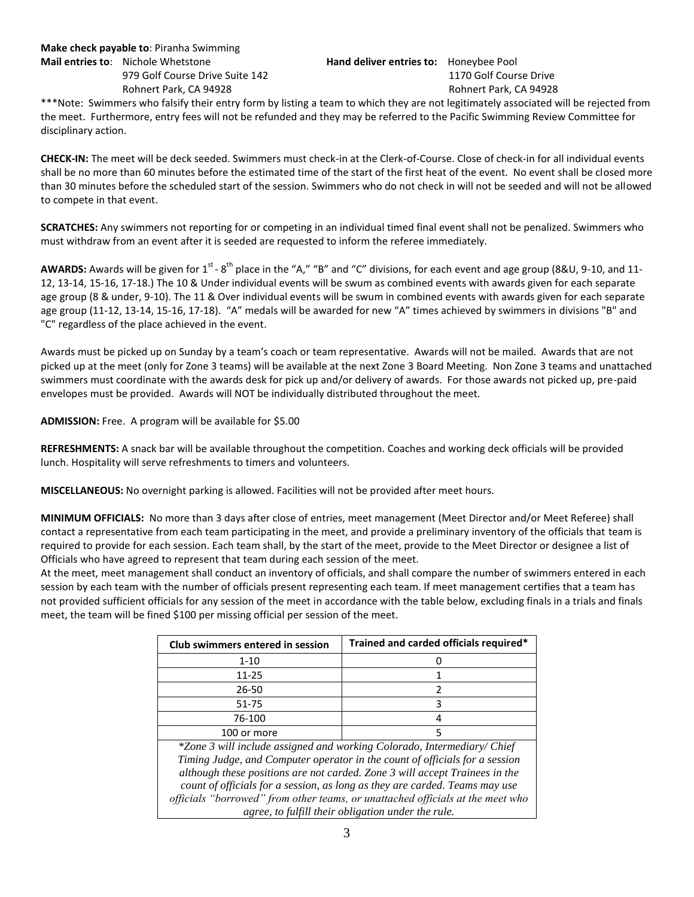\*\*\*Note: Swimmers who falsify their entry form by listing a team to which they are not legitimately associated will be rejected from the meet. Furthermore, entry fees will not be refunded and they may be referred to the Pacific Swimming Review Committee for disciplinary action.

**CHECK-IN:** The meet will be deck seeded. Swimmers must check-in at the Clerk-of-Course. Close of check-in for all individual events shall be no more than 60 minutes before the estimated time of the start of the first heat of the event. No event shall be closed more than 30 minutes before the scheduled start of the session. Swimmers who do not check in will not be seeded and will not be allowed to compete in that event.

**SCRATCHES:** Any swimmers not reporting for or competing in an individual timed final event shall not be penalized. Swimmers who must withdraw from an event after it is seeded are requested to inform the referee immediately.

AWARDS: Awards will be given for 1<sup>st</sup> - 8<sup>th</sup> place in the "A," "B" and "C" divisions, for each event and age group (8&U, 9-10, and 11-12, 13-14, 15-16, 17-18.) The 10 & Under individual events will be swum as combined events with awards given for each separate age group (8 & under, 9-10). The 11 & Over individual events will be swum in combined events with awards given for each separate age group (11-12, 13-14, 15-16, 17-18). "A" medals will be awarded for new "A" times achieved by swimmers in divisions "B" and "C" regardless of the place achieved in the event.

Awards must be picked up on Sunday by a team's coach or team representative. Awards will not be mailed. Awards that are not picked up at the meet (only for Zone 3 teams) will be available at the next Zone 3 Board Meeting. Non Zone 3 teams and unattached swimmers must coordinate with the awards desk for pick up and/or delivery of awards. For those awards not picked up, pre-paid envelopes must be provided. Awards will NOT be individually distributed throughout the meet.

**ADMISSION:** Free. A program will be available for \$5.00

**REFRESHMENTS:** A snack bar will be available throughout the competition. Coaches and working deck officials will be provided lunch. Hospitality will serve refreshments to timers and volunteers.

**MISCELLANEOUS:** No overnight parking is allowed. Facilities will not be provided after meet hours.

**MINIMUM OFFICIALS:** No more than 3 days after close of entries, meet management (Meet Director and/or Meet Referee) shall contact a representative from each team participating in the meet, and provide a preliminary inventory of the officials that team is required to provide for each session. Each team shall, by the start of the meet, provide to the Meet Director or designee a list of Officials who have agreed to represent that team during each session of the meet.

At the meet, meet management shall conduct an inventory of officials, and shall compare the number of swimmers entered in each session by each team with the number of officials present representing each team. If meet management certifies that a team has not provided sufficient officials for any session of the meet in accordance with the table below, excluding finals in a trials and finals meet, the team will be fined \$100 per missing official per session of the meet.

| Club swimmers entered in session                                                                                                                                                                                                                                                                                                                                                                                                                             | Trained and carded officials required* |  |  |  |  |  |  |
|--------------------------------------------------------------------------------------------------------------------------------------------------------------------------------------------------------------------------------------------------------------------------------------------------------------------------------------------------------------------------------------------------------------------------------------------------------------|----------------------------------------|--|--|--|--|--|--|
| $1 - 10$                                                                                                                                                                                                                                                                                                                                                                                                                                                     |                                        |  |  |  |  |  |  |
| 11-25                                                                                                                                                                                                                                                                                                                                                                                                                                                        |                                        |  |  |  |  |  |  |
| 26-50                                                                                                                                                                                                                                                                                                                                                                                                                                                        | 2                                      |  |  |  |  |  |  |
| $51 - 75$                                                                                                                                                                                                                                                                                                                                                                                                                                                    | 3                                      |  |  |  |  |  |  |
| 76-100                                                                                                                                                                                                                                                                                                                                                                                                                                                       | 4                                      |  |  |  |  |  |  |
| 100 or more                                                                                                                                                                                                                                                                                                                                                                                                                                                  | 5                                      |  |  |  |  |  |  |
| *Zone 3 will include assigned and working Colorado, Intermediary/ Chief<br>Timing Judge, and Computer operator in the count of officials for a session<br>although these positions are not carded. Zone 3 will accept Trainees in the<br>count of officials for a session, as long as they are carded. Teams may use<br>officials "borrowed" from other teams, or unattached officials at the meet who<br>agree, to fulfill their obligation under the rule. |                                        |  |  |  |  |  |  |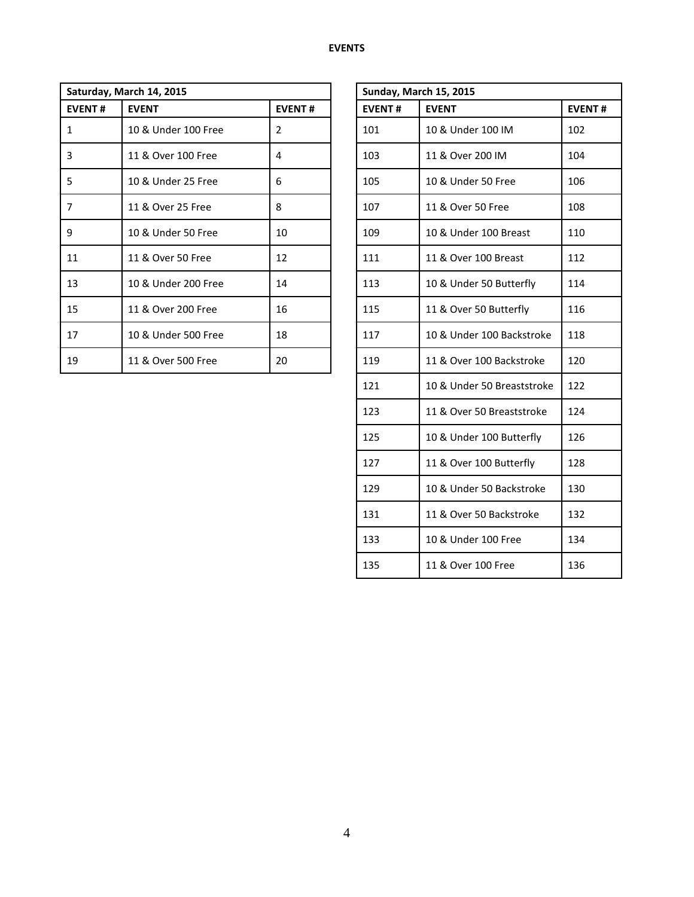|               | Saturday, March 14, 2015 |               | <b>Sunday, March 15, 2015</b> |                           |     |  |  |  |
|---------------|--------------------------|---------------|-------------------------------|---------------------------|-----|--|--|--|
| <b>EVENT#</b> | <b>EVENT</b>             | <b>EVENT#</b> | <b>EVENT#</b>                 | <b>EVENT</b>              |     |  |  |  |
| 1             | 10 & Under 100 Free      | 2             | 101                           | 10 & Under 100 IM         | 102 |  |  |  |
| 3             | 11 & Over 100 Free       | 4             | 103                           | 11 & Over 200 IM          | 104 |  |  |  |
| 5             | 10 & Under 25 Free       | 6             | 105                           | 10 & Under 50 Free        | 106 |  |  |  |
| 7             | 11 & Over 25 Free        | 8             | 107                           | 11 & Over 50 Free         | 108 |  |  |  |
| 9             | 10 & Under 50 Free       | 10            | 109                           | 10 & Under 100 Breast     | 110 |  |  |  |
| 11            | 11 & Over 50 Free        | 12            | 111                           | 11 & Over 100 Breast      | 112 |  |  |  |
| 13            | 10 & Under 200 Free      | 14            | 113                           | 10 & Under 50 Butterfly   | 114 |  |  |  |
| 15            | 11 & Over 200 Free       | 16            | 115                           | 11 & Over 50 Butterfly    | 116 |  |  |  |
| 17            | 10 & Under 500 Free      | 18            | 117                           | 10 & Under 100 Backstroke | 118 |  |  |  |
| 19            | 11 & Over 500 Free       | 20            | 119                           | 11 & Over 100 Backstroke  | 120 |  |  |  |

| <b>Sunday, March 15, 2015</b> |                            |               |  |  |  |  |  |  |  |
|-------------------------------|----------------------------|---------------|--|--|--|--|--|--|--|
| <b>EVENT#</b>                 | <b>EVENT</b>               | <b>EVENT#</b> |  |  |  |  |  |  |  |
| 101                           | 10 & Under 100 IM          | 102           |  |  |  |  |  |  |  |
| 103                           | 11 & Over 200 IM           | 104           |  |  |  |  |  |  |  |
| 105                           | 10 & Under 50 Free         | 106           |  |  |  |  |  |  |  |
| 107                           | 11 & Over 50 Free          | 108           |  |  |  |  |  |  |  |
| 109                           | 10 & Under 100 Breast      | 110           |  |  |  |  |  |  |  |
| 111                           | 11 & Over 100 Breast       | 112           |  |  |  |  |  |  |  |
| 113                           | 10 & Under 50 Butterfly    | 114           |  |  |  |  |  |  |  |
| 115                           | 11 & Over 50 Butterfly     | 116           |  |  |  |  |  |  |  |
| 117                           | 10 & Under 100 Backstroke  | 118           |  |  |  |  |  |  |  |
| 119                           | 11 & Over 100 Backstroke   | 120           |  |  |  |  |  |  |  |
| 121                           | 10 & Under 50 Breaststroke | 122           |  |  |  |  |  |  |  |
| 123                           | 11 & Over 50 Breaststroke  | 124           |  |  |  |  |  |  |  |
| 125                           | 10 & Under 100 Butterfly   | 126           |  |  |  |  |  |  |  |
| 127                           | 11 & Over 100 Butterfly    | 128           |  |  |  |  |  |  |  |
| 129                           | 10 & Under 50 Backstroke   | 130           |  |  |  |  |  |  |  |
| 131                           | 11 & Over 50 Backstroke    | 132           |  |  |  |  |  |  |  |
| 133                           | 10 & Under 100 Free        | 134           |  |  |  |  |  |  |  |
| 135                           | 11 & Over 100 Free         | 136           |  |  |  |  |  |  |  |